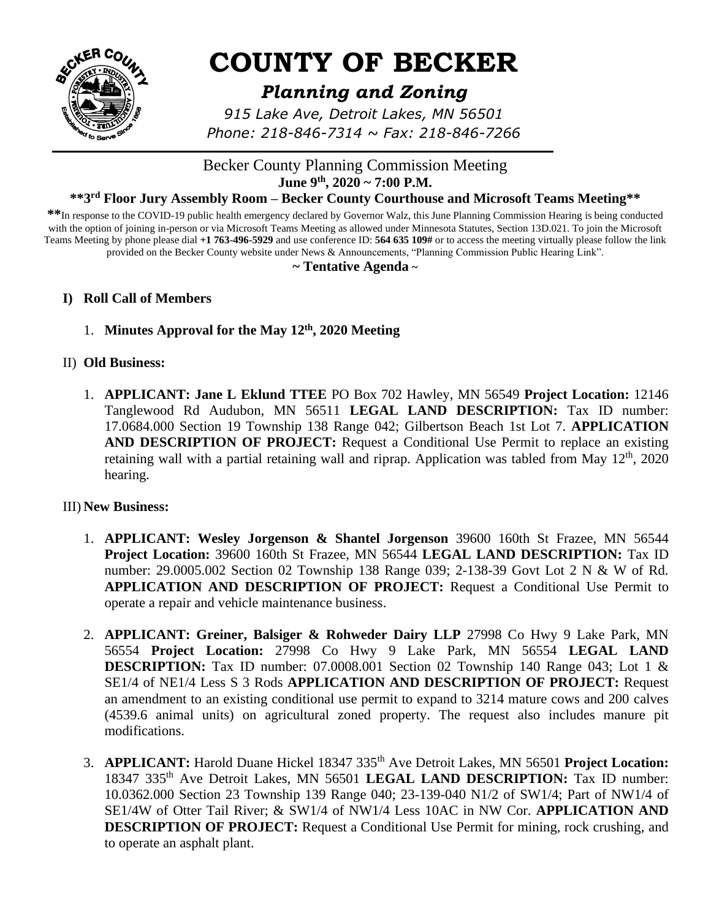

# **COUNTY OF BECKER**

# *Planning and Zoning*

*915 Lake Ave, Detroit Lakes, MN 56501 Phone: 218-846-7314 ~ Fax: 218-846-7266*

# Becker County Planning Commission Meeting **June 9th , 2020 ~ 7:00 P.M.**

#### **\*\*3 rd Floor Jury Assembly Room – Becker County Courthouse and Microsoft Teams Meeting\*\***

**\*\***In response to the COVID-19 public health emergency declared by Governor Walz, this June Planning Commission Hearing is being conducted with the option of joining in-person or via Microsoft Teams Meeting as allowed under Minnesota Statutes, Section 13D.021. To join the Microsoft Teams Meeting by phone please dial **+1 763-496-5929** and use conference ID: **564 635 109#** or to access the meeting virtually please follow the link provided on the Becker County website under News & Announcements, "Planning Commission Public Hearing Link".

#### **~ Tentative Agenda ~**

#### **I) Roll Call of Members**

1. **Minutes Approval for the May 12th, 2020 Meeting**

#### II) **Old Business:**

1. **APPLICANT: Jane L Eklund TTEE** PO Box 702 Hawley, MN 56549 **Project Location:** 12146 Tanglewood Rd Audubon, MN 56511 **LEGAL LAND DESCRIPTION:** Tax ID number: 17.0684.000 Section 19 Township 138 Range 042; Gilbertson Beach 1st Lot 7. **APPLICATION AND DESCRIPTION OF PROJECT:** Request a Conditional Use Permit to replace an existing retaining wall with a partial retaining wall and riprap. Application was tabled from May 12<sup>th</sup>, 2020 hearing.

#### III) **New Business:**

- 1. **APPLICANT: Wesley Jorgenson & Shantel Jorgenson** 39600 160th St Frazee, MN 56544 **Project Location:** 39600 160th St Frazee, MN 56544 **LEGAL LAND DESCRIPTION:** Tax ID number: 29.0005.002 Section 02 Township 138 Range 039; 2-138-39 Govt Lot 2 N & W of Rd. **APPLICATION AND DESCRIPTION OF PROJECT:** Request a Conditional Use Permit to operate a repair and vehicle maintenance business.
- 2. **APPLICANT: Greiner, Balsiger & Rohweder Dairy LLP** 27998 Co Hwy 9 Lake Park, MN 56554 **Project Location:** 27998 Co Hwy 9 Lake Park, MN 56554 **LEGAL LAND DESCRIPTION:** Tax ID number: 07.0008.001 Section 02 Township 140 Range 043; Lot 1 & SE1/4 of NE1/4 Less S 3 Rods **APPLICATION AND DESCRIPTION OF PROJECT:** Request an amendment to an existing conditional use permit to expand to 3214 mature cows and 200 calves (4539.6 animal units) on agricultural zoned property. The request also includes manure pit modifications.
- 3. **APPLICANT:** Harold Duane Hickel 18347 335th Ave Detroit Lakes, MN 56501 **Project Location:** 18347 335th Ave Detroit Lakes, MN 56501 **LEGAL LAND DESCRIPTION:** Tax ID number: 10.0362.000 Section 23 Township 139 Range 040; 23-139-040 N1/2 of SW1/4; Part of NW1/4 of SE1/4W of Otter Tail River; & SW1/4 of NW1/4 Less 10AC in NW Cor. **APPLICATION AND DESCRIPTION OF PROJECT:** Request a Conditional Use Permit for mining, rock crushing, and to operate an asphalt plant.